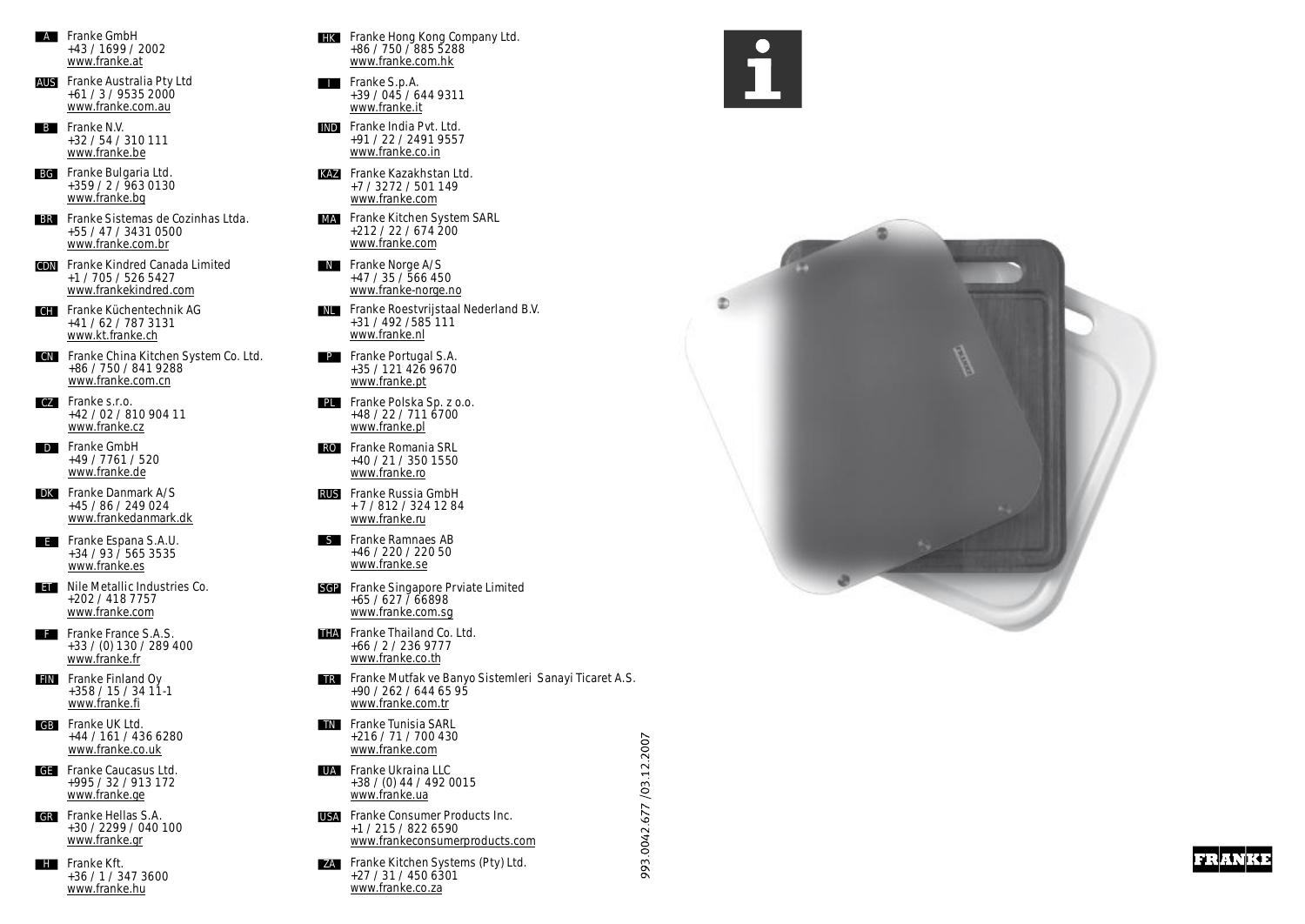- +43 / 1699 / 2002 [www.franke.at](http://www.franke.at) **A Franke GmbH**
- **AUS Franke Australia Pty Ltd** +61 / 3 / 9535 2000 [www.franke.com.au](http://www.franke.com.au)
- **B Franke N.V.** +32 / 54 / 310 111 [www.franke.be](http://www.franke.be)
- **BG** +359 / 2 / 963 0130 [www.franke.bg](http://www.franke.bg) **Franke Bulgaria Ltd.**
- **BR Franke Sistemas de Cozinhas Ltda.** +55 / 47 / 3431 0500 [www.franke.com.br](http://www.franke.com.br)
- **CDN Franke Kindred Canada Limited** +1 / 705 / 526 5427 [www.frankekindred.com](http://www.frankekindred.com)
- **CH Franke Küchentechnik AG** +41 / 62 / 787 3131 [www.kt.franke.ch](http://www.kt.franke.ch)
- **CN Franke China Kitchen System Co. Ltd.** +86 / 750 / 841 9288 [www.franke.com.cn](http://www.franke.com.cn)
- **CZ Franke s.r.o.** +42 / 02 / 810 904 11 [www.franke.cz](http://www.franke.cz)
- **D Franke GmbH** +49 / 7761 / 520 [www.franke.de](http://www.franke.de)
- **DK Franke Danmark A/S** +45 / 86 / 249 024 [www.frankedanmark.dk](http://www.frankedanmark.dk)
- **E Franke Espana S.A.U.** +34 / 93 / 565 3535 [www.franke.es](http://www.franke.es)
- **ET Nile Metallic Industries Co.** +202 / 418 7757 [www.franke.com](http://www.franke.com)
- **Franke France S.A.S.** +33 / (0) 130 / 289 400 [www.franke.fr](http://www.franke.fr)
- **FIN Franke Finland Oy** +358 / 15 / 34 11-1 [www.franke.fi](http://www.franke.fi)
- **GB Franke UK Ltd.** +44 / 161 / 436 6280 [www.franke.co.uk](http://www.franke.co.uk)
- **GE Franke Caucasus Ltd.** +995 / 32 / 913 172 [www.franke.ge](http://www.franke.ge)
- **GR Franke Hellas S.A.** +30 / 2299 / 040 100 [www.franke.gr](http://www.franke.gr)
- **H Franke Kft.** +36 / 1 / 347 3600 [www.franke.hu](http://www.franke.hu)
- **HK Franke Hong Kong Company Ltd.** +86 / 750 / 885 5288 [www.franke.com.hk](http://www.franke.com.hk)
	- **I Franke S.p.A.** +39 / 045 / 644 9311 [www.franke.it](http://www.franke.it)
	- **IND Franke India Pvt. Ltd.** +91 / 22 / 2491 9557 [www.franke.co.in](http://www.franke.co.in)
	- +7 / 3272 / 501 149 [www.franke.com](http://www.franke.com) **Franke Kazakhstan Ltd. KAZ**
	- **MA Franke Kitchen System SARL** +212 / 22 / 674 200 [www.franke.com](http://www.franke.com)
	- **N Franke Norge A/S**+47 / 35 / 566 450 [www.franke-norge.no](http://www.franke-norge.no)
	- **NL Franke Roestvrijstaal Nederland B.V.** +31 / 492 /585 111 [www.franke.nl](http://www.franke.nl)
	- **Franke Portugal S.A. P** +35 / 121 426 9670 [www.franke.pt](http://www.franke.pt)
	- **Franke Polska Sp. z o.o. PL** +48 / 22 / 711 6700 [www.franke.pl](http://www.franke.pl)
	- **Franke Romania SRL RO** +40 / 21 / 350 1550 [www.franke.ro](http://www.franke.ro)
	- **Franke Russia GmbH RUS** [www.franke.ru](http://www.franke.ru) + 7 / 812 / 324 12 84
	- **Franke Ramnaes AB S** +46 / 220 / 220 50 [www.franke.se](http://www.franke.se)
	- **Franke Singapore Prviate Limited SGP** +65 / 627 / 66898 [www.franke.com.sg](http://www.franke.com.sg)
	- +66 / 2 / 236 9777 [www.franke.co.th](http://www.franke.co.th) **Franke Thailand Co. Ltd. THA**
	- **Franke Mutfak ve Banyo Sistemleri Sanayi Ticaret A.S. TR** +90 / 262 / 644 65 95 [www.franke.com.tr](http://www.franke.com.tr)

/03.12.2007

.0042.677

993.

- +216 / 71 / 700 430 [www.franke.com](http://www.franke.com) **TN Franke Tunisia SARL**
- +38 / (0) 44 / 492 0015 [www.franke.ua](http://www.franke.ua) **Franke Ukraina LLC UA**
- **Franke Consumer Products Inc**. **USA** +1 / 215 / 822 6590 [www.frankeconsumerproducts.com](http://www.frankeconsumerproducts.com)
- +27 / 31 / 450 6301 [www.franke.co.za](http://www.franke.co.za) **Franke Kitchen Systems (Pty) Ltd. ZA**